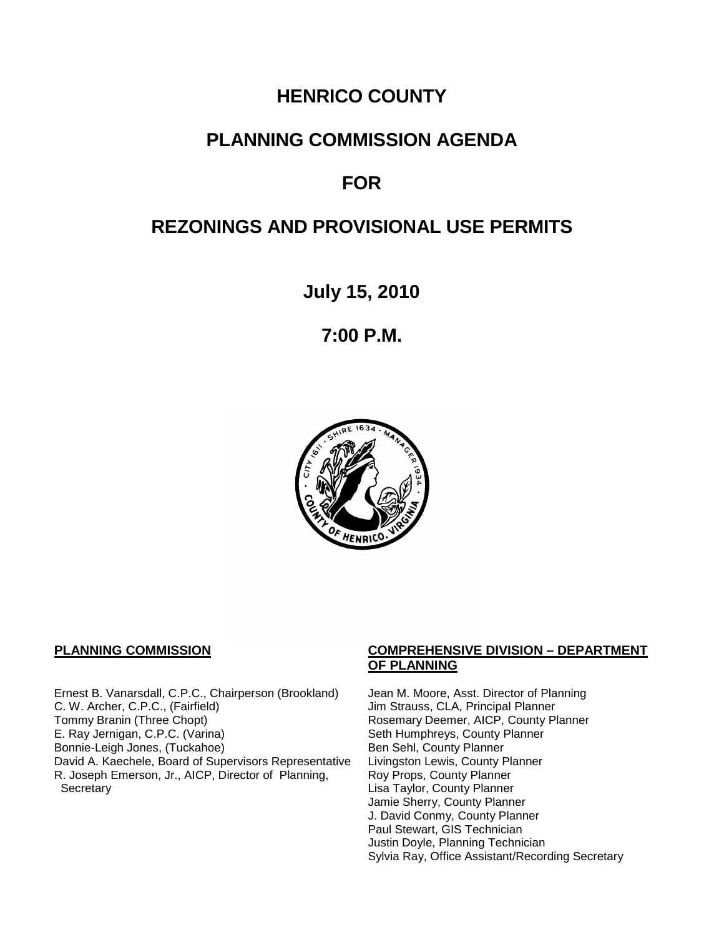# **HENRICO COUNTY**

# **PLANNING COMMISSION AGENDA**

# **FOR**

# **REZONINGS AND PROVISIONAL USE PERMITS**

**July 15, 2010**

**7:00 P.M.**



Ernest B. Vanarsdall, C.P.C., Chairperson (Brookland) Jean M. Moore, Asst. Director of Planning<br>C. W. Archer, C.P.C., (Fairfield) Jim Strauss, CLA, Principal Planner C. W. Archer, C.P.C., (Fairfield) Jim Strauss, CLA, Principal Planner<br>
Tommy Branin (Three Chopt) Strauss, CLA, Principal Planner<br>
Rosemary Deemer, AICP, County P E. Ray Jernigan, C.P.C. (Varina) Seth Humphreys, County Planner<br>Bonnie-Leigh Jones, (Tuckahoe) Sen Sehl, County Planner Bonnie-Leigh Jones, (Tuckahoe)<br>David A. Kaechele, Board of Supervisors Representative Livingston Lewis, County Planner David A. Kaechele, Board of Supervisors Representative R. Joseph Emerson, Jr., AICP, Director of Planning, **Secretary** 

#### **PLANNING COMMISSION COMPREHENSIVE DIVISION – DEPARTMENT OF PLANNING**

Rosemary Deemer, AICP, County Planner Roy Props, County Planner Lisa Taylor, County Planner Jamie Sherry, County Planner J. David Conmy, County Planner Paul Stewart, GIS Technician Justin Doyle, Planning Technician Sylvia Ray, Office Assistant/Recording Secretary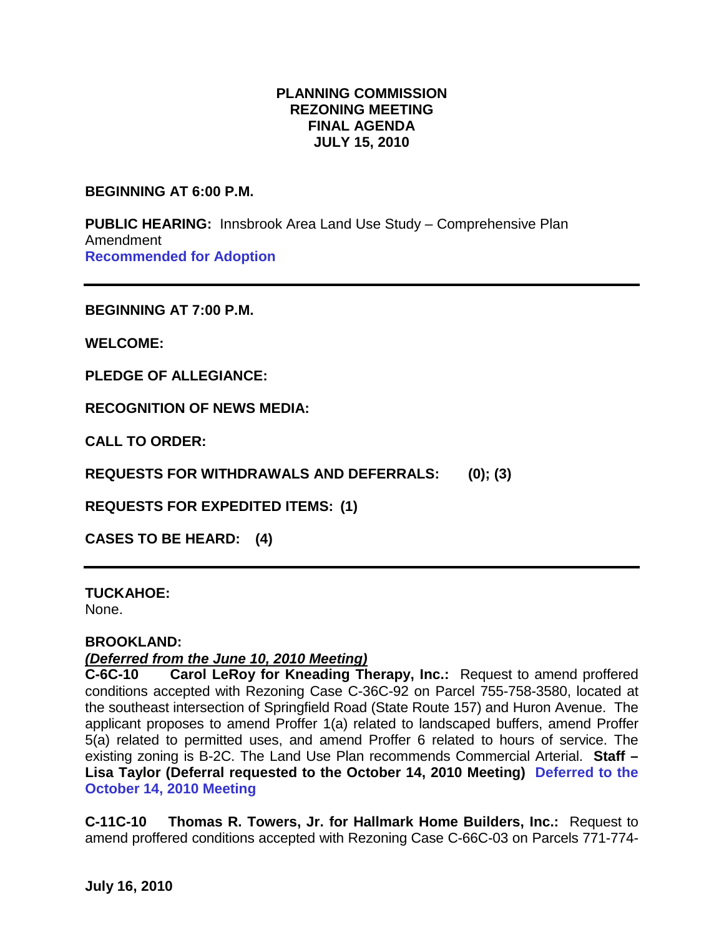## **PLANNING COMMISSION REZONING MEETING FINAL AGENDA JULY 15, 2010**

#### **BEGINNING AT 6:00 P.M.**

**PUBLIC HEARING:** Innsbrook Area Land Use Study – Comprehensive Plan Amendment **Recommended for Adoption**

**BEGINNING AT 7:00 P.M.**

**WELCOME:**

**PLEDGE OF ALLEGIANCE:**

**RECOGNITION OF NEWS MEDIA:**

**CALL TO ORDER:**

**REQUESTS FOR WITHDRAWALS AND DEFERRALS: (0); (3)**

**REQUESTS FOR EXPEDITED ITEMS: (1)**

**CASES TO BE HEARD: (4)**

**TUCKAHOE:**

None.

#### **BROOKLAND:**

#### *(Deferred from the June 10, 2010 Meeting)*

**C-6C-10 Carol LeRoy for Kneading Therapy, Inc.:** Request to amend proffered conditions accepted with Rezoning Case C-36C-92 on Parcel 755-758-3580, located at the southeast intersection of Springfield Road (State Route 157) and Huron Avenue. The applicant proposes to amend Proffer 1(a) related to landscaped buffers, amend Proffer 5(a) related to permitted uses, and amend Proffer 6 related to hours of service. The existing zoning is B-2C. The Land Use Plan recommends Commercial Arterial. **Staff – Lisa Taylor (Deferral requested to the October 14, 2010 Meeting) Deferred to the October 14, 2010 Meeting**

**C-11C-10 Thomas R. Towers, Jr. for Hallmark Home Builders, Inc.:** Request to amend proffered conditions accepted with Rezoning Case C-66C-03 on Parcels 771-774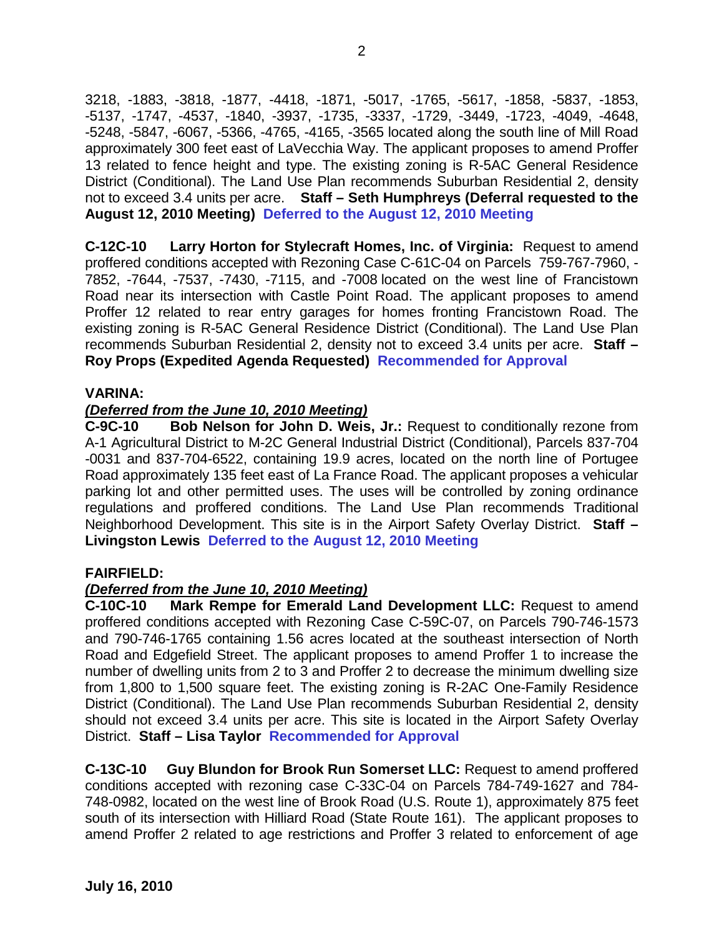3218, -1883, -3818, -1877, -4418, -1871, -5017, -1765, -5617, -1858, -5837, -1853, -5137, -1747, -4537, -1840, -3937, -1735, -3337, -1729, -3449, -1723, -4049, -4648, -5248, -5847, -6067, -5366, -4765, -4165, -3565 located along the south line of Mill Road approximately 300 feet east of LaVecchia Way. The applicant proposes to amend Proffer 13 related to fence height and type. The existing zoning is R-5AC General Residence District (Conditional). The Land Use Plan recommends Suburban Residential 2, density not to exceed 3.4 units per acre. **Staff – Seth Humphreys (Deferral requested to the August 12, 2010 Meeting) Deferred to the August 12, 2010 Meeting**

**C-12C-10 Larry Horton for Stylecraft Homes, Inc. of Virginia:** Request to amend proffered conditions accepted with Rezoning Case C-61C-04 on Parcels 759-767-7960, - 7852, -7644, -7537, -7430, -7115, and -7008 located on the west line of Francistown Road near its intersection with Castle Point Road. The applicant proposes to amend Proffer 12 related to rear entry garages for homes fronting Francistown Road. The existing zoning is R-5AC General Residence District (Conditional). The Land Use Plan recommends Suburban Residential 2, density not to exceed 3.4 units per acre. **Staff – Roy Props (Expedited Agenda Requested) Recommended for Approval**

## **VARINA:**

### *(Deferred from the June 10, 2010 Meeting)*

**C-9C-10 Bob Nelson for John D. Weis, Jr.:** Request to conditionally rezone from A-1 Agricultural District to M-2C General Industrial District (Conditional), Parcels 837-704 -0031 and 837-704-6522, containing 19.9 acres, located on the north line of Portugee Road approximately 135 feet east of La France Road. The applicant proposes a vehicular parking lot and other permitted uses. The uses will be controlled by zoning ordinance regulations and proffered conditions. The Land Use Plan recommends Traditional Neighborhood Development. This site is in the Airport Safety Overlay District. **Staff – Livingston Lewis Deferred to the August 12, 2010 Meeting**

#### **FAIRFIELD:**

## *(Deferred from the June 10, 2010 Meeting)*

**C-10C-10 Mark Rempe for Emerald Land Development LLC:** Request to amend proffered conditions accepted with Rezoning Case C-59C-07, on Parcels 790-746-1573 and 790-746-1765 containing 1.56 acres located at the southeast intersection of North Road and Edgefield Street. The applicant proposes to amend Proffer 1 to increase the number of dwelling units from 2 to 3 and Proffer 2 to decrease the minimum dwelling size from 1,800 to 1,500 square feet. The existing zoning is R-2AC One-Family Residence District (Conditional). The Land Use Plan recommends Suburban Residential 2, density should not exceed 3.4 units per acre. This site is located in the Airport Safety Overlay District. **Staff – Lisa Taylor Recommended for Approval**

**C-13C-10 Guy Blundon for Brook Run Somerset LLC:** Request to amend proffered conditions accepted with rezoning case C-33C-04 on Parcels 784-749-1627 and 784- 748-0982, located on the west line of Brook Road (U.S. Route 1), approximately 875 feet south of its intersection with Hilliard Road (State Route 161). The applicant proposes to amend Proffer 2 related to age restrictions and Proffer 3 related to enforcement of age